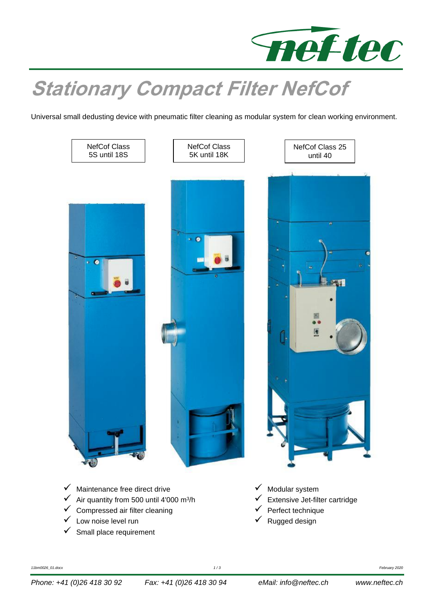

## **Stationary Compact Filter NefCof**

Universal small dedusting device with pneumatic filter cleaning as modular system for clean working environment.

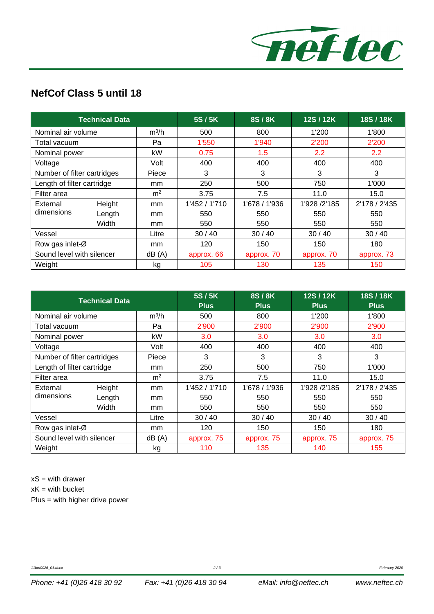

## **NefCof Class 5 until 18**

| <b>Technical Data</b>       |        |                | 5S/5K         | 8S/8K         | 12S/12K      | 18S/18K       |
|-----------------------------|--------|----------------|---------------|---------------|--------------|---------------|
| Nominal air volume          |        | $m^3/h$        | 500           | 800           | 1'200        | 1'800         |
| Total vacuum                |        | Pa             | 1'550         | 1'940         | 2'200        | 2'200         |
| Nominal power               |        | kW             | 0.75          | 1.5           | 2.2          | $2.2^{\circ}$ |
| Voltage                     |        | Volt           | 400           | 400           | 400          | 400           |
| Number of filter cartridges |        | Piece          | 3             | 3             | 3            | 3             |
| Length of filter cartridge  |        | mm             | 250           | 500           | 750          | 1'000         |
| Filter area                 |        | m <sup>2</sup> | 3.75          | 7.5           | 11.0         | 15.0          |
| External                    | Height | mm             | 1'452 / 1'710 | 1'678 / 1'936 | 1'928 /2'185 | 2'178 / 2'435 |
| dimensions                  | Length | mm             | 550           | 550           | 550          | 550           |
|                             | Width  | mm             | 550           | 550           | 550          | 550           |
| Vessel                      |        | Litre          | 30/40         | 30/40         | 30/40        | 30/40         |
| Row gas inlet-Ø             |        | mm             | 120           | 150           | 150          | 180           |
| Sound level with silencer   |        | dB(A)          | approx. 66    | approx. 70    | approx. 70   | approx. 73    |
| Weight                      |        | kg             | 105           | 130           | 135          | 150           |

| <b>Technical Data</b>       |        | 5S/5K<br><b>Plus</b> | 8S/8K<br><b>Plus</b> | 12S/12K<br><b>Plus</b> | 18S/18K<br><b>Plus</b> |               |
|-----------------------------|--------|----------------------|----------------------|------------------------|------------------------|---------------|
| Nominal air volume          |        | $m^3/h$              | 500                  | 800                    | 1'200                  | 1'800         |
| Total vacuum                |        | Pa                   | 2'900                | 2'900                  | 2'900                  | 2'900         |
| Nominal power               |        | kW                   | 3.0                  | 3.0                    | 3.0                    | 3.0           |
| Voltage                     |        | Volt                 | 400                  | 400                    | 400                    | 400           |
| Number of filter cartridges |        | Piece                | 3                    | 3                      | 3                      | 3             |
| Length of filter cartridge  |        | mm                   | 250                  | 500                    | 750                    | 1'000         |
| Filter area                 |        | m <sup>2</sup>       | 3.75                 | 7.5                    | 11.0                   | 15.0          |
| External                    | Height | mm                   | 1'452 / 1'710        | 1'678 / 1'936          | 1'928 /2'185           | 2'178 / 2'435 |
| dimensions                  | Length | <sub>mm</sub>        | 550                  | 550                    | 550                    | 550           |
|                             | Width  | mm                   | 550                  | 550                    | 550                    | 550           |
| Vessel                      |        | Litre                | 30/40                | 30/40                  | 30/40                  | 30/40         |
| Row gas inlet-Ø             |        | mm                   | 120                  | 150                    | 150                    | 180           |
| Sound level with silencer   |        | dB(A)                | approx. 75           | approx. 75             | approx. 75             | approx. 75    |
| Weight                      |        | kg                   | 110                  | 135                    | 140                    | 155           |

 $xS =$  with drawer

 $xK =$  with bucket

Plus = with higher drive power